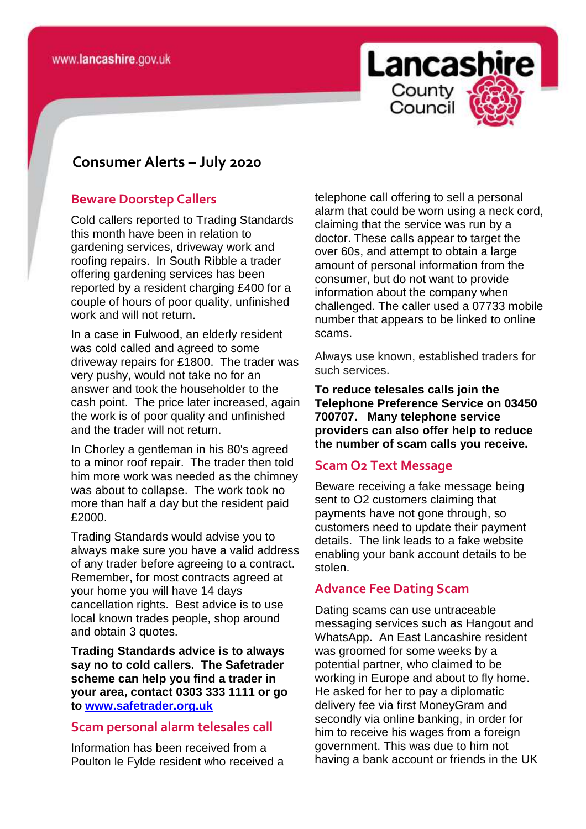

# **consomer Consumer Alerts – July 2020**

## **Beware Doorstep Callers**

Cold callers reported to Trading Standards this month have been in relation to gardening services, driveway work and roofing repairs. In South Ribble a trader offering gardening services has been reported by a resident charging £400 for a couple of hours of poor quality, unfinished work and will not return.

In a case in Fulwood, an elderly resident was cold called and agreed to some driveway repairs for £1800. The trader was very pushy, would not take no for an answer and took the householder to the cash point. The price later increased, again the work is of poor quality and unfinished and the trader will not return.

In Chorley a gentleman in his 80's agreed to a minor roof repair. The trader then told him more work was needed as the chimney was about to collapse. The work took no more than half a day but the resident paid £2000.

Trading Standards would advise you to always make sure you have a valid address of any trader before agreeing to a contract. Remember, for most contracts agreed at your home you will have 14 days cancellation rights. Best advice is to use local known trades people, shop around and obtain 3 quotes.

**Trading Standards advice is to always say no to cold callers. The Safetrader scheme can help you find a trader in your area, contact 0303 333 1111 or go to [www.safetrader.org.uk](http://www.safetrader.org.uk/)**

#### **Scam personal alarm telesales call**

Information has been received from a Poulton le Fylde resident who received a telephone call offering to sell a personal alarm that could be worn using a neck cord, claiming that the service was run by a doctor. These calls appear to target the over 60s, and attempt to obtain a large amount of personal information from the consumer, but do not want to provide information about the company when challenged. The caller used a 07733 mobile number that appears to be linked to online scams.

Always use known, established traders for such services.

**To reduce telesales calls join the Telephone Preference Service on 03450 700707. Many telephone service providers can also offer help to reduce the number of scam calls you receive.**

#### **Scam O2 Text Message**

Beware receiving a fake message being sent to O2 customers claiming that payments have not gone through, so customers need to update their payment details. The link leads to a fake website enabling your bank account details to be stolen.

## **Advance Fee Dating Scam**

Dating scams can use untraceable messaging services such as Hangout and WhatsApp. An East Lancashire resident was groomed for some weeks by a potential partner, who claimed to be working in Europe and about to fly home. He asked for her to pay a diplomatic delivery fee via first MoneyGram and secondly via online banking, in order for him to receive his wages from a foreign government. This was due to him not having a bank account or friends in the UK